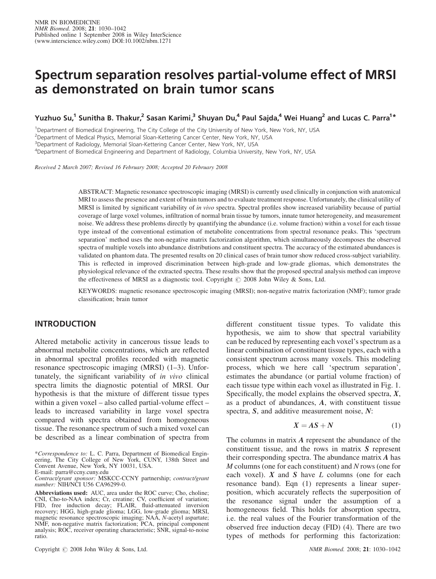# Spectrum separation resolves partial-volume effect of MRSI as demonstrated on brain tumor scans

Yuzhuo Su,<sup>1</sup> Sunitha B. Thakur,<sup>2</sup> Sasan Karimi,<sup>3</sup> Shuyan Du,<sup>4</sup> Paul Sajda,<sup>4</sup> Wei Huang<sup>2</sup> and Lucas C. Parra<sup>1\*</sup>

<sup>1</sup>Department of Biomedical Engineering, The City College of the City University of New York, New York, NY, USA

<sup>2</sup> Department of Medical Physics, Memorial Sloan-Kettering Cancer Center, New York, NY, USA

<sup>3</sup>Department of Radiology, Memorial Sloan-Kettering Cancer Center, New York, NY, USA

4 Department of Biomedical Engineering and Department of Radiology, Columbia University, New York, NY, USA

Received 2 March 2007; Revised 16 February 2008; Accepted 20 February 2008

ABSTRACT: Magnetic resonance spectroscopic imaging (MRSI) is currently used clinically in conjunction with anatomical MRI to assess the presence and extent of brain tumors and to evaluate treatment response. Unfortunately, the clinical utility of MRSI is limited by significant variability of in vivo spectra. Spectral profiles show increased variability because of partial coverage of large voxel volumes, infiltration of normal brain tissue by tumors, innate tumor heterogeneity, and measurement noise. We address these problems directly by quantifying the abundance (i.e. volume fraction) within a voxel for each tissue type instead of the conventional estimation of metabolite concentrations from spectral resonance peaks. This 'spectrum separation' method uses the non-negative matrix factorization algorithm, which simultaneously decomposes the observed spectra of multiple voxels into abundance distributions and constituent spectra. The accuracy of the estimated abundances is validated on phantom data. The presented results on 20 clinical cases of brain tumor show reduced cross-subject variability. This is reflected in improved discrimination between high-grade and low-grade gliomas, which demonstrates the physiological relevance of the extracted spectra. These results show that the proposed spectral analysis method can improve the effectiveness of MRSI as a diagnostic tool. Copyright  $\odot$  2008 John Wiley & Sons, Ltd.

KEYWORDS: magnetic resonance spectroscopic imaging (MRSI); non-negative matrix factorization (NMF); tumor grade classification; brain tumor

# INTRODUCTION

Altered metabolic activity in cancerous tissue leads to abnormal metabolite concentrations, which are reflected in abnormal spectral profiles recorded with magnetic resonance spectroscopic imaging (MRSI) (1–3). Unfortunately, the significant variability of in vivo clinical spectra limits the diagnostic potential of MRSI. Our hypothesis is that the mixture of different tissue types within a given voxel – also called partial-volume effect – leads to increased variability in large voxel spectra compared with spectra obtained from homogeneous tissue. The resonance spectrum of such a mixed voxel can be described as a linear combination of spectra from

\*Correspondence to: L. C. Parra, Department of Biomedical Engineering, The City College of New York, CUNY, 138th Street and Convent Avenue, New York, NY 10031, USA. E-mail: parra@ccny.cuny.edu

Contract/grant sponsor: MSKCC-CCNY partnership; contract/grant number: NIH/NCI U56 CA96299-0.

Abbreviations used: AUC, area under the ROC curve; Cho, choline; CNI, Cho-to-NAA index; Cr, creatine; CV, coefficient of variation; FID, free induction decay; FLAIR, fluid-attenuated inversion recovery; HGG, high-grade glioma; LGG, low-grade glioma; MRSI, magnetic resonance spectroscopic imaging; NAA, N-acetyl aspartate; NMF, non-negative matrix factorization; PCA, principal component analysis; ROC, receiver operating characteristic; SNR, signal-to-noise ratio.

Copyright  $\odot$  2008 John Wiley & Sons, Ltd. NMR Biomed. 2008; 21: 1030–1042

different constituent tissue types. To validate this hypothesis, we aim to show that spectral variability can be reduced by representing each voxel's spectrum as a linear combination of constituent tissue types, each with a consistent spectrum across many voxels. This modeling process, which we here call 'spectrum separation', estimates the abundance (or partial volume fraction) of each tissue type within each voxel as illustrated in Fig. 1. Specifically, the model explains the observed spectra,  $X$ , as a product of abundances, A, with constituent tissue spectra, S, and additive measurement noise, N:

$$
X = AS + N \tag{1}
$$

The columns in matrix A represent the abundance of the constituent tissue, and the rows in matrix S represent their corresponding spectra. The abundance matrix A has M columns (one for each constituent) and N rows (one for each voxel).  $X$  and  $S$  have  $L$  columns (one for each resonance band). Eqn (1) represents a linear superposition, which accurately reflects the superposition of the resonance signal under the assumption of a homogeneous field. This holds for absorption spectra, i.e. the real values of the Fourier transformation of the observed free induction decay (FID) (4). There are two types of methods for performing this factorization: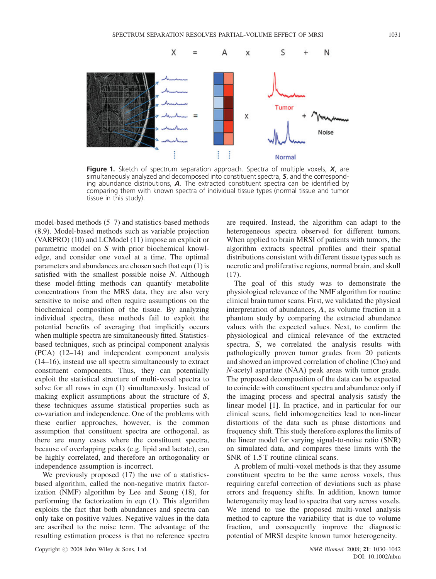

Figure 1. Sketch of spectrum separation approach. Spectra of multiple voxels,  $X$ , are simultaneously analyzed and decomposed into constituent spectra, S, and the corresponding abundance distributions,  $\boldsymbol{A}$ . The extracted constituent spectra can be identified by comparing them with known spectra of individual tissue types (normal tissue and tumor tissue in this study).

model-based methods (5–7) and statistics-based methods (8,9). Model-based methods such as variable projection (VARPRO) (10) and LCModel (11) impose an explicit or parametric model on S with prior biochemical knowledge, and consider one voxel at a time. The optimal parameters and abundances are chosen such that eqn (1) is satisfied with the smallest possible noise  $N$ . Although these model-fitting methods can quantify metabolite concentrations from the MRS data, they are also very sensitive to noise and often require assumptions on the biochemical composition of the tissue. By analyzing individual spectra, these methods fail to exploit the potential benefits of averaging that implicitly occurs when multiple spectra are simultaneously fitted. Statisticsbased techniques, such as principal component analysis (PCA) (12–14) and independent component analysis (14–16), instead use all spectra simultaneously to extract constituent components. Thus, they can potentially exploit the statistical structure of multi-voxel spectra to solve for all rows in eqn (1) simultaneously. Instead of making explicit assumptions about the structure of S, these techniques assume statistical properties such as co-variation and independence. One of the problems with these earlier approaches, however, is the common assumption that constituent spectra are orthogonal, as there are many cases where the constituent spectra, because of overlapping peaks (e.g. lipid and lactate), can be highly correlated, and therefore an orthogonality or independence assumption is incorrect.

We previously proposed (17) the use of a statisticsbased algorithm, called the non-negative matrix factorization (NMF) algorithm by Lee and Seung (18), for performing the factorization in eqn (1). This algorithm exploits the fact that both abundances and spectra can only take on positive values. Negative values in the data are ascribed to the noise term. The advantage of the resulting estimation process is that no reference spectra

are required. Instead, the algorithm can adapt to the heterogeneous spectra observed for different tumors. When applied to brain MRSI of patients with tumors, the algorithm extracts spectral profiles and their spatial distributions consistent with different tissue types such as necrotic and proliferative regions, normal brain, and skull (17).

The goal of this study was to demonstrate the physiological relevance of the NMF algorithm for routine clinical brain tumor scans. First, we validated the physical interpretation of abundances, A, as volume fraction in a phantom study by comparing the extracted abundance values with the expected values. Next, to confirm the physiological and clinical relevance of the extracted spectra, S, we correlated the analysis results with pathologically proven tumor grades from 20 patients and showed an improved correlation of choline (Cho) and N-acetyl aspartate (NAA) peak areas with tumor grade. The proposed decomposition of the data can be expected to coincide with constituent spectra and abundance only if the imaging process and spectral analysis satisfy the linear model [1]. In practice, and in particular for our clinical scans, field inhomogeneities lead to non-linear distortions of the data such as phase distortions and frequency shift. This study therefore explores the limits of the linear model for varying signal-to-noise ratio (SNR) on simulated data, and compares these limits with the SNR of  $1.5$  T routine clinical scans.

A problem of multi-voxel methods is that they assume constituent spectra to be the same across voxels, thus requiring careful correction of deviations such as phase errors and frequency shifts. In addition, known tumor heterogeneity may lead to spectra that vary across voxels. We intend to use the proposed multi-voxel analysis method to capture the variability that is due to volume fraction, and consequently improve the diagnostic potential of MRSI despite known tumor heterogeneity.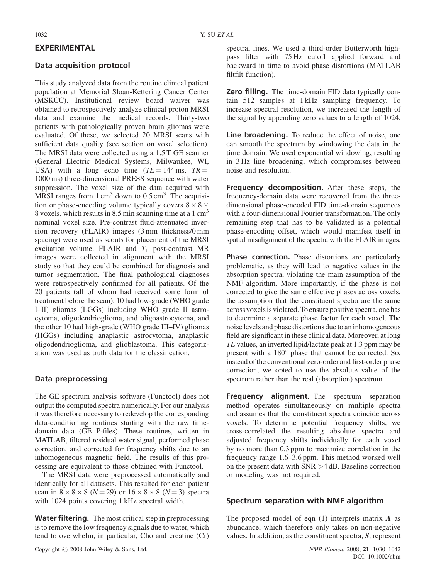## EXPERIMENTAL

#### Data acquisition protocol

This study analyzed data from the routine clinical patient population at Memorial Sloan-Kettering Cancer Center (MSKCC). Institutional review board waiver was obtained to retrospectively analyze clinical proton MRSI data and examine the medical records. Thirty-two patients with pathologically proven brain gliomas were evaluated. Of these, we selected 20 MRSI scans with sufficient data quality (see section on voxel selection). The MRSI data were collected using a 1.5 T GE scanner (General Electric Medical Systems, Milwaukee, WI, USA) with a long echo time  $(TE = 144 \text{ ms}, TR =$ 1000 ms) three-dimensional PRESS sequence with water suppression. The voxel size of the data acquired with MRSI ranges from  $1 \text{ cm}^3$  down to  $0.5 \text{ cm}^3$ . The acquisition or phase-encoding volume typically covers  $8 \times 8 \times$ 8 voxels, which results in 8.5 min scanning time at a  $1 \text{ cm}^3$ nominal voxel size. Pre-contrast fluid-attenuated inversion recovery (FLAIR) images (3 mm thickness/0 mm spacing) were used as scouts for placement of the MRSI excitation volume. FLAIR and  $T_1$  post-contrast MR images were collected in alignment with the MRSI study so that they could be combined for diagnosis and tumor segmentation. The final pathological diagnoses were retrospectively confirmed for all patients. Of the 20 patients (all of whom had received some form of treatment before the scan), 10 had low-grade (WHO grade I–II) gliomas (LGGs) including WHO grade II astrocytoma, oligodendrioglioma, and oligoastrocytoma, and the other 10 had high-grade (WHO grade III–IV) gliomas (HGGs) including anaplastic astrocytoma, anaplastic oligodendrioglioma, and glioblastoma. This categorization was used as truth data for the classification.

#### Data preprocessing

The GE spectrum analysis software (Functool) does not output the computed spectra numerically. For our analysis it was therefore necessary to redevelop the corresponding data-conditioning routines starting with the raw timedomain data (GE P-files). These routines, written in MATLAB, filtered residual water signal, performed phase correction, and corrected for frequency shifts due to an inhomogeneous magnetic field. The results of this processing are equivalent to those obtained with Functool.

The MRSI data were preprocessed automatically and identically for all datasets. This resulted for each patient scan in  $8 \times 8 \times 8$  ( $N = 29$ ) or  $16 \times 8 \times 8$  ( $N = 3$ ) spectra with 1024 points covering 1 kHz spectral width.

**Water filtering.** The most critical step in preprocessing is to remove the low frequency signals due to water, which tend to overwhelm, in particular, Cho and creatine (Cr)

spectral lines. We used a third-order Butterworth highpass filter with 75 Hz cutoff applied forward and backward in time to avoid phase distortions (MATLAB filtfilt function).

Zero filling. The time-domain FID data typically contain 512 samples at 1 kHz sampling frequency. To increase spectral resolution, we increased the length of the signal by appending zero values to a length of 1024.

Line broadening. To reduce the effect of noise, one can smooth the spectrum by windowing the data in the time domain. We used exponential windowing, resulting in 3 Hz line broadening, which compromises between noise and resolution.

Frequency decomposition. After these steps, the frequency-domain data were recovered from the threedimensional phase-encoded FID time-domain sequences with a four-dimensional Fourier transformation. The only remaining step that has to be validated is a potential phase-encoding offset, which would manifest itself in spatial misalignment of the spectra with the FLAIR images.

Phase correction. Phase distortions are particularly problematic, as they will lead to negative values in the absorption spectra, violating the main assumption of the NMF algorithm. More importantly, if the phase is not corrected to give the same effective phases across voxels, the assumption that the constituent spectra are the same across voxelsis violated. To ensure positive spectra, one has to determine a separate phase factor for each voxel. The noise levels and phase distortions due to an inhomogeneous field are significant in these clinical data. Moreover, at long TE values, an inverted lipid/lactate peak at 1.3 ppm may be present with a  $180^\circ$  phase that cannot be corrected. So, instead of the conventional zero-order and first-order phase correction, we opted to use the absolute value of the spectrum rather than the real (absorption) spectrum.

Frequency alignment. The spectrum separation method operates simultaneously on multiple spectra and assumes that the constituent spectra coincide across voxels. To determine potential frequency shifts, we cross-correlated the resulting absolute spectra and adjusted frequency shifts individually for each voxel by no more than 0.3 ppm to maximize correlation in the frequency range 1.6–3.6 ppm. This method worked well on the present data with SNR >4 dB. Baseline correction or modeling was not required.

#### Spectrum separation with NMF algorithm

The proposed model of eqn  $(1)$  interprets matrix A as abundance, which therefore only takes on non-negative values. In addition, as the constituent spectra, S, represent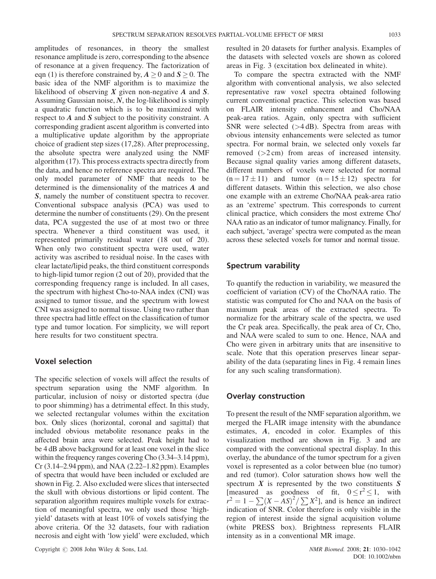amplitudes of resonances, in theory the smallest resonance amplitude is zero, corresponding to the absence of resonance at a given frequency. The factorization of eqn (1) is therefore constrained by,  $A \ge 0$  and  $S \ge 0$ . The basic idea of the NMF algorithm is to maximize the likelihood of observing  $X$  given non-negative  $A$  and  $S$ . Assuming Gaussian noise,  $N$ , the log-likelihood is simply a quadratic function which is to be maximized with respect to  $A$  and  $S$  subject to the positivity constraint. A corresponding gradient ascent algorithm is converted into a multiplicative update algorithm by the appropriate choice of gradient step sizes (17,28). After preprocessing, the absolute spectra were analyzed using the NMF algorithm (17). This process extracts spectra directly from the data, and hence no reference spectra are required. The only model parameter of NMF that needs to be determined is the dimensionality of the matrices A and S, namely the number of constituent spectra to recover. Conventional subspace analysis (PCA) was used to determine the number of constituents (29). On the present data, PCA suggested the use of at most two or three spectra. Whenever a third constituent was used, it represented primarily residual water (18 out of 20). When only two constituent spectra were used, water activity was ascribed to residual noise. In the cases with clear lactate/lipid peaks, the third constituent corresponds to high-lipid tumor region (2 out of 20), provided that the corresponding frequency range is included. In all cases, the spectrum with highest Cho-to-NAA index (CNI) was assigned to tumor tissue, and the spectrum with lowest CNI was assigned to normal tissue. Using two rather than three spectra had little effect on the classification of tumor type and tumor location. For simplicity, we will report here results for two constituent spectra.

#### Voxel selection

The specific selection of voxels will affect the results of spectrum separation using the NMF algorithm. In particular, inclusion of noisy or distorted spectra (due to poor shimming) has a detrimental effect. In this study, we selected rectangular volumes within the excitation box. Only slices (horizontal, coronal and sagittal) that included obvious metabolite resonance peaks in the affected brain area were selected. Peak height had to be 4 dB above background for at least one voxel in the slice within the frequency ranges covering Cho  $(3.34-3.14$  ppm), Cr (3.14–2.94 ppm), and NAA (2.22–1.82 ppm). Examples of spectra that would have been included or excluded are shown in Fig. 2. Also excluded were slices that intersected the skull with obvious distortions or lipid content. The separation algorithm requires multiple voxels for extraction of meaningful spectra, we only used those 'highyield' datasets with at least 10% of voxels satisfying the above criteria. Of the 32 datasets, four with radiation necrosis and eight with 'low yield' were excluded, which

Copyright  $\odot$  2008 John Wiley & Sons, Ltd. NMR Biomed. 2008; 21: 1030–1042

resulted in 20 datasets for further analysis. Examples of the datasets with selected voxels are shown as colored areas in Fig. 3 (excitation box delineated in white).

To compare the spectra extracted with the NMF algorithm with conventional analysis, we also selected representative raw voxel spectra obtained following current conventional practice. This selection was based on FLAIR intensity enhancement and Cho/NAA peak-area ratios. Again, only spectra with sufficient SNR were selected  $(>4 \text{ dB})$ . Spectra from areas with obvious intensity enhancements were selected as tumor spectra. For normal brain, we selected only voxels far removed  $(>2 \text{ cm})$  from areas of increased intensity. Because signal quality varies among different datasets, different numbers of voxels were selected for normal  $(n = 17 \pm 11)$  and tumor  $(n = 15 \pm 12)$  spectra for different datasets. Within this selection, we also chose one example with an extreme Cho/NAA peak-area ratio as an 'extreme' spectrum. This corresponds to current clinical practice, which considers the most extreme Cho/ NAA ratio as an indicator of tumor malignancy. Finally, for each subject, 'average' spectra were computed as the mean across these selected voxels for tumor and normal tissue.

# Spectrum varability

To quantify the reduction in variability, we measured the coefficient of variation (CV) of the Cho/NAA ratio. The statistic was computed for Cho and NAA on the basis of maximum peak areas of the extracted spectra. To normalize for the arbitrary scale of the spectra, we used the Cr peak area. Specifically, the peak area of Cr, Cho, and NAA were scaled to sum to one. Hence, NAA and Cho were given in arbitrary units that are insensitive to scale. Note that this operation preserves linear separability of the data (separating lines in Fig. 4 remain lines for any such scaling transformation).

#### Overlay construction

To present the result of the NMF separation algorithm, we merged the FLAIR image intensity with the abundance estimates, A, encoded in color. Examples of this visualization method are shown in Fig. 3 and are compared with the conventional spectral display. In this overlay, the abundance of the tumor spectrum for a given voxel is represented as a color between blue (no tumor) and red (tumor). Color saturation shows how well the spectrum  $X$  is represented by the two constituents  $S$ [measured as goodness of fit,  $0 \le r^2 \le 1$ , with  $r^2 = 1 - \sum (X - AS)^2 / \sum X^2$ , and is hence an indirect indication of SNR. Color therefore is only visible in the region of interest inside the signal acquisition volume (white PRESS box). Brightness represents FLAIR intensity as in a conventional MR image.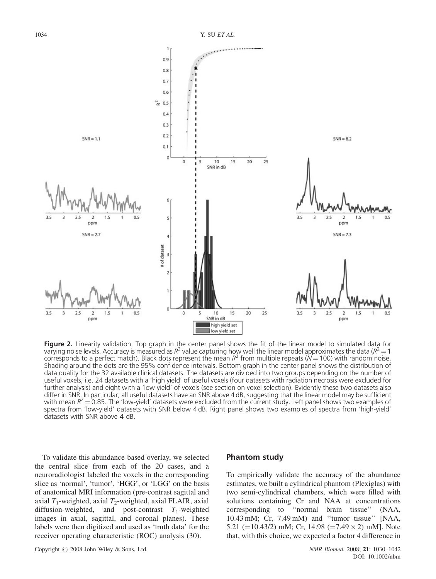

Figure 2. Linearity validation. Top graph in the center panel shows the fit of the linear model to simulated data for varying noise levels. Accuracy is measured as  $R^2$  value capturing how well the linear model approximates the data ( $R^2 = 1$ ) corresponds to a perfect match). Black dots represent the mean  $R^2$  from multiple repeats ( $N = 100$ ) with random noise. Shading around the dots are the 95% confidence intervals. Bottom graph in the center panel shows the distribution of data quality for the 32 available clinical datasets. The datasets are divided into two groups depending on the number of useful voxels, i.e. 24 datasets with a 'high yield' of useful voxels (four datasets with radiation necrosis were excluded for further analysis) and eight with a 'low yield' of voxels (see section on voxel selection). Evidently these two datasets also differ in SNR. In particular, all useful datasets have an SNR above 4 dB, suggesting that the linear model may be sufficient with mean  $R^2 = 0.85$ . The 'low-yield' datasets were excluded from the current study. Left panel shows two examples of spectra from 'low-yield' datasets with SNR below 4 dB. Right panel shows two examples of spectra from 'high-yield' datasets with SNR above 4 dB.

To validate this abundance-based overlay, we selected the central slice from each of the 20 cases, and a neuroradiologist labeled the voxels in the corresponding slice as 'normal', 'tumor', 'HGG', or 'LGG' on the basis of anatomical MRI information (pre-contrast sagittal and axial  $T_1$ -weighted, axial  $T_2$ -weighted, axial FLAIR, axial diffusion-weighted, and post-contrast  $T_1$ -weighted images in axial, sagittal, and coronal planes). These labels were then digitized and used as 'truth data' for the receiver operating characteristic (ROC) analysis (30).

#### Phantom study

To empirically validate the accuracy of the abundance estimates, we built a cylindrical phantom (Plexiglas) with two semi-cylindrical chambers, which were filled with solutions containing Cr and NAA at concentrations corresponding to ''normal brain tissue'' (NAA, 10.43 mM; Cr, 7.49 mM) and ''tumor tissue'' [NAA, 5.21 (=10.43/2) mM; Cr, 14.98 (=7.49  $\times$  2) mM]. Note that, with this choice, we expected a factor 4 difference in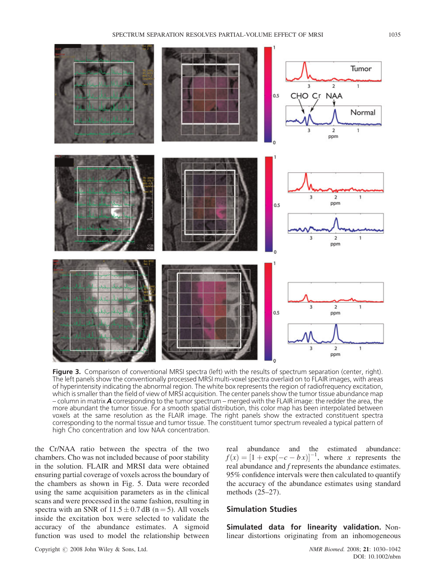

Figure 3. Comparison of conventional MRSI spectra (left) with the results of spectrum separation (center, right). The left panels show the conventionally processed MRSI multi-voxel spectra overlaid on to FLAIR images, with areas of hyperintensity indicating the abnormal region. The white box represents the region of radiofrequency excitation, which is smaller than the field of view of MRSI acquisition. The center panels show the tumor tissue abundance map – column in matrix **A** corresponding to the tumor spectrum – merged with the FLAIR image: the redder the area, the more abundant the tumor tissue. For a smooth spatial distribution, this color map has been interpolated between voxels at the same resolution as the FLAIR image. The right panels show the extracted constituent spectra corresponding to the normal tissue and tumor tissue. The constituent tumor spectrum revealed a typical pattern of high Cho concentration and low NAA concentration.

the Cr/NAA ratio between the spectra of the two chambers. Cho was not included because of poor stability in the solution. FLAIR and MRSI data were obtained ensuring partial coverage of voxels across the boundary of the chambers as shown in Fig. 5. Data were recorded using the same acquisition parameters as in the clinical scans and were processed in the same fashion, resulting in spectra with an SNR of  $11.5 \pm 0.7$  dB (n = 5). All voxels inside the excitation box were selected to validate the accuracy of the abundance estimates. A sigmoid function was used to model the relationship between real abundance and the estimated abundance:  $f(x) = [1 + \exp(-c - bx)]^{-1}$ , where x represents the real abundance and f represents the abundance estimates. 95% confidence intervals were then calculated to quantify the accuracy of the abundance estimates using standard methods (25–27).

# Simulation Studies

Simulated data for linearity validation. Nonlinear distortions originating from an inhomogeneous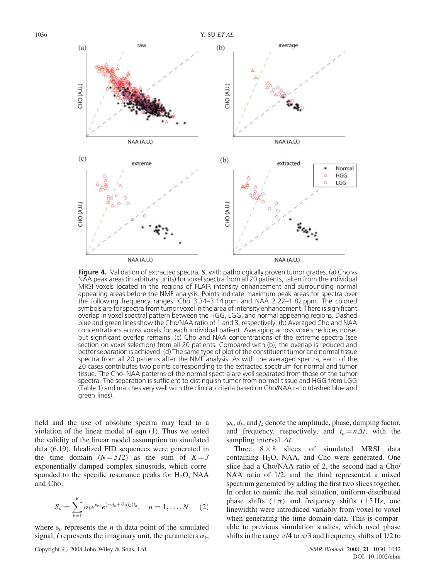

**Figure 4.** Validation of extracted spectra, S, with pathologically proven tumor grades. (a) Cho vs NAA peak areas (in arbitrary units) for voxel spectra from all 20 patients, taken from the individual MRSI voxels located in the regions of FLAIR intensity enhancement and surrounding normal appearing areas before the NMF analysis. Points indicate maximum peak areas for spectra over the following frequency ranges: Cho 3.34–3.14 ppm and NAA 2.22–1.82 ppm. The colored symbols are for spectra from tumor voxel in the area of intensity enhancement. There is significant overlap in voxel spectral pattern between the HGG, LGG, and normal appearing regions. Dashed blue and green lines show the Cho/NAA ratio of 1 and 3, respectively. (b) Averaged Cho and NAA concentrations across voxels for each individual patient. Averaging across voxels reduces noise, but significant overlap remains. (c) Cho and NAA concentrations of the extreme spectra (see section on voxel selection) from all 20 patients. Compared with (b), the overlap is reduced and better separation is achieved. (d) The same type of plot of the constituent tumor and normal tissue spectra from all 20 patients after the NMF analysis. As with the averaged spectra, each of the 20 cases contributes two points corresponding to the extracted spectrum for normal and tumor tissue. The Cho–NAA patterns of the normal spectra are well separated from those of the tumor spectra. The separation is sufficient to distinguish tumor from normal tissue and HGG from LGG (Table 1) and matches very well with the clinical criteria based on Cho/NAA ratio (dashed blue and green lines).

field and the use of absolute spectra may lead to a violation of the linear model of eqn (1). Thus we tested the validity of the linear model assumption on simulated data (6,19). Idealized FID sequences were generated in the time domain  $(N = 512)$  as the sum of  $K = 3$ exponentially damped complex sinusoids, which corresponded to the specific resonance peaks for  $H_2O$ , NAA and Cho:

$$
S_n = \sum_{k=1}^K \alpha_k e^{i\varphi_k} e^{(-d_k + i2\pi f_k)t_n}, \quad n = 1, \ldots, N \quad (2)
$$

where  $s_n$  represents the *n*-th data point of the simulated signal, *i* represents the imaginary unit, the parameters  $\alpha_k$ ,

 $\varphi_k$ ,  $d_k$ , and  $f_k$  denote the amplitude, phase, damping factor, and frequency, respectively, and  $t_n = n\Delta t$ , with the sampling interval  $\Delta t$ .

Three  $8 \times 8$  slices of simulated MRSI data containing  $H_2O$ , NAA, and Cho were generated. One slice had a Cho/NAA ratio of 2, the second had a Cho/ NAA ratio of 1/2, and the third represented a mixed spectrum generated by adding the first two slices together. In order to mimic the real situation, uniform-distributed phase shifts  $(\pm \pi)$  and frequency shifts  $(\pm 5 \text{ Hz}, \text{ one})$ linewidth) were introduced variably from voxel to voxel when generating the time-domain data. This is comparable to previous simulation studies, which used phase shifts in the range  $\pi/4$  to  $\pi/3$  and frequency shifts of 1/2 to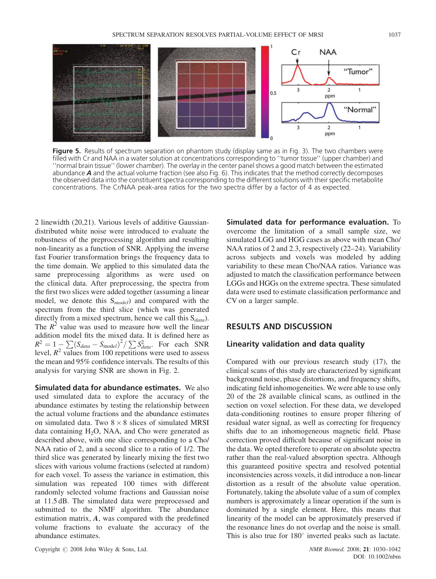

Figure 5. Results of spectrum separation on phantom study (display same as in Fig. 3). The two chambers were filled with Cr and NAA in a water solution at concentrations corresponding to ''tumor tissue'' (upper chamber) and ''normal brain tissue'' (lower chamber). The overlay in the center panel shows a good match between the estimated abundance  $A$  and the actual volume fraction (see also Fig. 6). This indicates that the method correctly decomposes the observed data into the constituent spectra corresponding to the different solutions with their specific metabolite concentrations. The Cr/NAA peak-area ratios for the two spectra differ by a factor of 4 as expected.

2 linewidth (20,21). Various levels of additive Gaussiandistributed white noise were introduced to evaluate the robustness of the preprocessing algorithm and resulting non-linearity as a function of SNR. Applying the inverse fast Fourier transformation brings the frequency data to the time domain. We applied to this simulated data the same preprocessing algorithms as were used on the clinical data. After preprocessing, the spectra from the first two slices were added together (assuming a linear model, we denote this  $S_{model}$  and compared with the spectrum from the third slice (which was generated directly from a mixed spectrum, hence we call this  $S_{data}$ ). The  $R^2$  value was used to measure how well the linear addition model fits the mixed data. It is defined here as  $R^2 = 1 - \sum_{i=1}^{n} (S_{data} - S_{model})^2 / \sum_{data} S_{data}^2$ . For each SNR level,  $R^2$  values from 100 repetitions were used to assess the mean and 95% confidence intervals. The results of this analysis for varying SNR are shown in Fig. 2.

Simulated data for abundance estimates. We also used simulated data to explore the accuracy of the abundance estimates by testing the relationship between the actual volume fractions and the abundance estimates on simulated data. Two  $8 \times 8$  slices of simulated MRSI data containing  $H_2O$ , NAA, and Cho were generated as described above, with one slice corresponding to a Cho/ NAA ratio of 2, and a second slice to a ratio of 1/2. The third slice was generated by linearly mixing the first two slices with various volume fractions (selected at random) for each voxel. To assess the variance in estimation, this simulation was repeated 100 times with different randomly selected volume fractions and Gaussian noise at 11.5 dB. The simulated data were preprocessed and submitted to the NMF algorithm. The abundance estimation matrix, A, was compared with the predefined volume fractions to evaluate the accuracy of the abundance estimates.

Simulated data for performance evaluation. To overcome the limitation of a small sample size, we simulated LGG and HGG cases as above with mean Cho/ NAA ratios of 2 and 2.3, respectively (22–24). Variability across subjects and voxels was modeled by adding variability to these mean Cho/NAA ratios. Variance was adjusted to match the classification performance between LGGs and HGGs on the extreme spectra. These simulated data were used to estimate classification performance and CV on a larger sample.

# RESULTS AND DISCUSSION

#### Linearity validation and data quality

Compared with our previous research study (17), the clinical scans of this study are characterized by significant background noise, phase distortions, and frequency shifts, indicating field inhomogeneities. We were able to use only 20 of the 28 available clinical scans, as outlined in the section on voxel selection. For these data, we developed data-conditioning routines to ensure proper filtering of residual water signal, as well as correcting for frequency shifts due to an inhomogeneous magnetic field. Phase correction proved difficult because of significant noise in the data. We opted therefore to operate on absolute spectra rather than the real-valued absorption spectra. Although this guaranteed positive spectra and resolved potential inconsistencies across voxels, it did introduce a non-linear distortion as a result of the absolute value operation. Fortunately, taking the absolute value of a sum of complex numbers is approximately a linear operation if the sum is dominated by a single element. Here, this means that linearity of the model can be approximately preserved if the resonance lines do not overlap and the noise is small. This is also true for  $180^\circ$  inverted peaks such as lactate.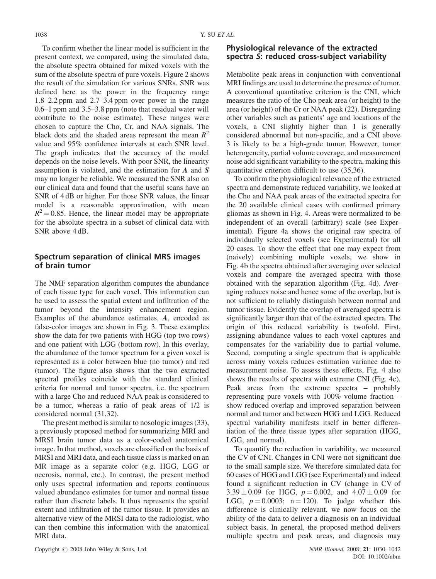To confirm whether the linear model is sufficient in the present context, we compared, using the simulated data, the absolute spectra obtained for mixed voxels with the sum of the absolute spectra of pure voxels. Figure 2 shows the result of the simulation for various SNRs. SNR was defined here as the power in the frequency range 1.8–2.2 ppm and 2.7–3.4 ppm over power in the range 0.6–1 ppm and 3.5–3.8 ppm (note that residual water will contribute to the noise estimate). These ranges were chosen to capture the Cho, Cr, and NAA signals. The black dots and the shaded areas represent the mean  $R^2$ value and 95% confidence intervals at each SNR level. The graph indicates that the accuracy of the model depends on the noise levels. With poor SNR, the linearity assumption is violated, and the estimation for A and S may no longer be reliable. We measured the SNR also on our clinical data and found that the useful scans have an SNR of 4 dB or higher. For those SNR values, the linear model is a reasonable approximation, with mean  $R^2$  = 0.85. Hence, the linear model may be appropriate for the absolute spectra in a subset of clinical data with SNR above 4 dB.

# Spectrum separation of clinical MRS images of brain tumor

The NMF separation algorithm computes the abundance of each tissue type for each voxel. This information can be used to assess the spatial extent and infiltration of the tumor beyond the intensity enhancement region. Examples of the abundance estimates, A, encoded as false-color images are shown in Fig. 3. These examples show the data for two patients with HGG (top two rows) and one patient with LGG (bottom row). In this overlay, the abundance of the tumor spectrum for a given voxel is represented as a color between blue (no tumor) and red (tumor). The figure also shows that the two extracted spectral profiles coincide with the standard clinical criteria for normal and tumor spectra, i.e. the spectrum with a large Cho and reduced NAA peak is considered to be a tumor, whereas a ratio of peak areas of 1/2 is considered normal (31,32).

The present method is similar to nosologic images (33), a previously proposed method for summarizing MRI and MRSI brain tumor data as a color-coded anatomical image. In that method, voxels are classified on the basis of MRSI and MRI data, and each tissue class is marked on an MR image as a separate color (e.g. HGG, LGG or necrosis, normal, etc.). In contrast, the present method only uses spectral information and reports continuous valued abundance estimates for tumor and normal tissue rather than discrete labels. It thus represents the spatial extent and infiltration of the tumor tissue. It provides an alternative view of the MRSI data to the radiologist, who can then combine this information with the anatomical MRI data.

# Physiological relevance of the extracted spectra S: reduced cross-subject variability

Metabolite peak areas in conjunction with conventional MRI findings are used to determine the presence of tumor. A conventional quantitative criterion is the CNI, which measures the ratio of the Cho peak area (or height) to the area (or height) of the Cr or NAA peak (22). Disregarding other variables such as patients' age and locations of the voxels, a CNI slightly higher than 1 is generally considered abnormal but non-specific, and a CNI above 3 is likely to be a high-grade tumor. However, tumor heterogeneity, partial volume coverage, and measurement noise add significant variability to the spectra, making this quantitative criterion difficult to use (35,36).

To confirm the physiological relevance of the extracted spectra and demonstrate reduced variability, we looked at the Cho and NAA peak areas of the extracted spectra for the 20 available clinical cases with confirmed primary gliomas as shown in Fig. 4. Areas were normalized to be independent of an overall (arbitrary) scale (see Experimental). Figure 4a shows the original raw spectra of individually selected voxels (see Experimental) for all 20 cases. To show the effect that one may expect from (naively) combining multiple voxels, we show in Fig. 4b the spectra obtained after averaging over selected voxels and compare the averaged spectra with those obtained with the separation algorithm (Fig. 4d). Averaging reduces noise and hence some of the overlap, but is not sufficient to reliably distinguish between normal and tumor tissue. Evidently the overlap of averaged spectra is significantly larger than that of the extracted spectra. The origin of this reduced variability is twofold. First, assigning abundance values to each voxel captures and compensates for the variability due to partial volume. Second, computing a single spectrum that is applicable across many voxels reduces estimation variance due to measurement noise. To assess these effects, Fig. 4 also shows the results of spectra with extreme CNI (Fig. 4c). Peak areas from the extreme spectra – probably representing pure voxels with 100% volume fraction – show reduced overlap and improved separation between normal and tumor and between HGG and LGG. Reduced spectral variability manifests itself in better differentiation of the three tissue types after separation (HGG, LGG, and normal).

To quantify the reduction in variability, we measured the CV of CNI. Changes in CNI were not significant due to the small sample size. We therefore simulated data for 60 cases of HGG and LGG (see Experimental) and indeed found a significant reduction in CV (change in CV of  $3.39 \pm 0.09$  for HGG,  $p = 0.002$ , and  $4.07 \pm 0.09$  for LGG,  $p = 0.0003$ ; n = 120). To judge whether this difference is clinically relevant, we now focus on the ability of the data to deliver a diagnosis on an individual subject basis. In general, the proposed method delivers multiple spectra and peak areas, and diagnosis may

Copyright  $\odot$  2008 John Wiley & Sons, Ltd.  $NMR$  Biomed. 2008; 21: 1030–1042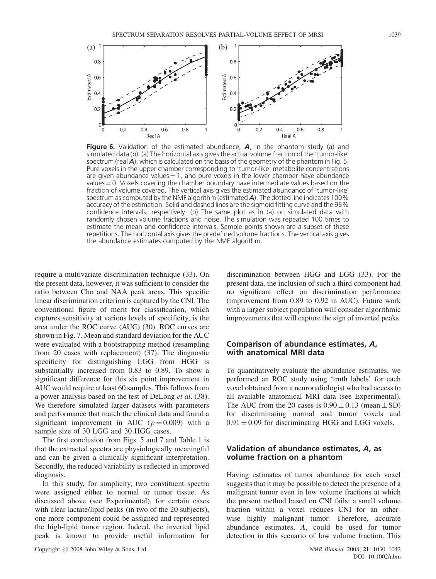

**Figure 6.** Validation of the estimated abundance,  $\boldsymbol{A}$ , in the phantom study (a) and simulated data (b). (a) The horizontal axis gives the actual volume fraction of the 'tumor-like' spectrum (real  $\bm{A}$ ), which is calculated on the basis of the geometry of the phantom in Fig. 5. Pure voxels in the upper chamber corresponding to 'tumor-like' metabolite concentrations are given abundance values  $= 1$ , and pure voxels in the lower chamber have abundance values  $= 0$ . Voxels covering the chamber boundary have intermediate values based on the fraction of volume covered. The vertical axis gives the estimated abundance of 'tumor-like' spectrum as computed by the NMF algorithm (estimated  $\bm{A}$ ). The dotted line indicates 100% accuracy of the estimation. Solid and dashed lines are the sigmoid fitting curve and the 95% confidence intervals, respectively. (b) The same plot as in (a) on simulated data with randomly chosen volume fractions and noise. The simulation was repeated 100 times to estimate the mean and confidence intervals. Sample points shown are a subset of these repetitions. The horizontal axis gives the predefined volume fractions. The vertical axis gives the abundance estimates computed by the NMF algorithm.

require a multivariate discrimination technique (33). On the present data, however, it was sufficient to consider the ratio between Cho and NAA peak areas. This specific linear discrimination criterion is captured by the CNI. The conventional figure of merit for classification, which captures sensitivity at various levels of specificity, is the area under the ROC curve (AUC) (30). ROC curves are shown in Fig. 7. Mean and standard deviation for the AUC were evaluated with a bootstrapping method (resampling from 20 cases with replacement) (37). The diagnostic specificity for distinguishing LGG from HGG is substantially increased from 0.83 to 0.89. To show a significant difference for this six point improvement in AUC would require at least 60 samples. This follows from a power analysis based on the test of DeLong et al. (38). We therefore simulated larger datasets with parameters and performance that match the clinical data and found a significant improvement in AUC ( $p = 0.009$ ) with a sample size of 30 LGG and 30 HGG cases.

The first conclusion from Figs. 5 and 7 and Table 1 is that the extracted spectra are physiologically meaningful and can be given a clinically significant interpretation. Secondly, the reduced variability is reflected in improved diagnosis.

In this study, for simplicity, two constituent spectra were assigned either to normal or tumor tissue. As discussed above (see Experimental), for certain cases with clear lactate/lipid peaks (in two of the 20 subjects), one more component could be assigned and represented the high-lipid tumor region. Indeed, the inverted lipid peak is known to provide useful information for

discrimination between HGG and LGG (33). For the present data, the inclusion of such a third component had no significant effect on discrimination performance (improvement from 0.89 to 0.92 in AUC). Future work with a larger subject population will consider algorithmic improvements that will capture the sign of inverted peaks.

# Comparison of abundance estimates, A, with anatomical MRI data

To quantitatively evaluate the abundance estimates, we performed an ROC study using 'truth labels' for each voxel obtained from a neuroradiologist who had access to all available anatomical MRI data (see Experimental). The AUC from the 20 cases is  $0.90 \pm 0.13$  (mean  $\pm$  SD) for discriminating normal and tumor voxels and  $0.91 \pm 0.09$  for discriminating HGG and LGG voxels.

#### Validation of abundance estimates, A, as volume fraction on a phantom

Having estimates of tumor abundance for each voxel suggests that it may be possible to detect the presence of a malignant tumor even in low volume fractions at which the present method based on CNI fails: a small volume fraction within a voxel reduces CNI for an otherwise highly malignant tumor. Therefore, accurate abundance estimates, A, could be used for tumor detection in this scenario of low volume fraction. This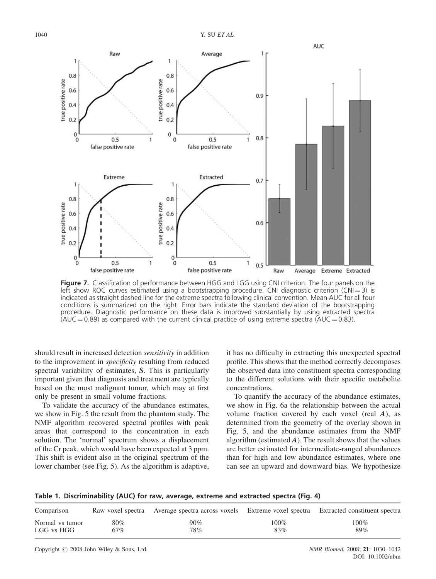

Figure 7. Classification of performance between HGG and LGG using CNI criterion. The four panels on the left show ROC curves estimated using a bootstrapping procedure. CNI diagnostic criterion (CNI=3) is indicated as straight dashed line for the extreme spectra following clinical convention. Mean AUC for all four conditions is summarized on the right. Error bars indicate the standard deviation of the bootstrapping procedure. Diagnostic performance on these data is improved substantially by using extracted spectra (AUC  $= 0.89$ ) as compared with the current clinical practice of using extreme spectra (AUC  $= 0.83$ ).

should result in increased detection sensitivity in addition to the improvement in *specificity* resulting from reduced spectral variability of estimates, S. This is particularly important given that diagnosis and treatment are typically based on the most malignant tumor, which may at first only be present in small volume fractions.

To validate the accuracy of the abundance estimates, we show in Fig. 5 the result from the phantom study. The NMF algorithm recovered spectral profiles with peak areas that correspond to the concentration in each solution. The 'normal' spectrum shows a displacement of the Cr peak, which would have been expected at 3 ppm. This shift is evident also in the original spectrum of the lower chamber (see Fig. 5). As the algorithm is adaptive,

it has no difficulty in extracting this unexpected spectral profile. This shows that the method correctly decomposes the observed data into constituent spectra corresponding to the different solutions with their specific metabolite concentrations.

To quantify the accuracy of the abundance estimates, we show in Fig. 6a the relationship between the actual volume fraction covered by each voxel (real  $A$ ), as determined from the geometry of the overlay shown in Fig. 5, and the abundance estimates from the NMF algorithm (estimated  $A$ ). The result shows that the values are better estimated for intermediate-ranged abundances than for high and low abundance estimates, where one can see an upward and downward bias. We hypothesize

Table 1. Discriminability (AUC) for raw, average, extreme and extracted spectra (Fig. 4)

| Comparison      |        | Raw voxel spectra Average spectra across voxels Extreme voxel spectra Extracted constituent spectra |         |         |
|-----------------|--------|-----------------------------------------------------------------------------------------------------|---------|---------|
| Normal vs tumor | $80\%$ | $90\%$                                                                                              | $100\%$ | $100\%$ |
| LGG vs HGG      | 67%    | 78%                                                                                                 | 83%     | 89%     |

Copyright  $\odot$  2008 John Wiley & Sons, Ltd.  $NMR$  Biomed. 2008; 21: 1030–1042

DOI: 10.1002/nbm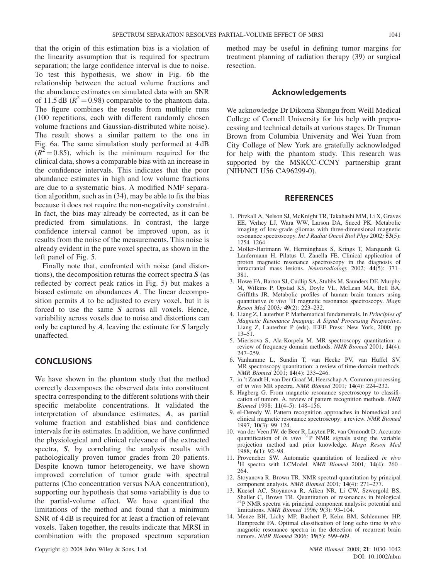that the origin of this estimation bias is a violation of the linearity assumption that is required for spectrum separation; the large confidence interval is due to noise. To test this hypothesis, we show in Fig. 6b the relationship between the actual volume fractions and the abundance estimates on simulated data with an SNR of 11.5 dB ( $R^2$  = 0.98) comparable to the phantom data. The figure combines the results from multiple runs (100 repetitions, each with different randomly chosen volume fractions and Gaussian-distributed white noise). The result shows a similar pattern to the one in Fig. 6a. The same simulation study performed at 4 dB  $(R^2 = 0.85)$ , which is the minimum required for the clinical data, shows a comparable bias with an increase in the confidence intervals. This indicates that the poor abundance estimates in high and low volume fractions are due to a systematic bias. A modified NMF separation algorithm, such as in (34), may be able to fix the bias because it does not require the non-negativity constraint. In fact, the bias may already be corrected, as it can be predicted from simulations. In contrast, the large confidence interval cannot be improved upon, as it results from the noise of the measurements. This noise is already evident in the pure voxel spectra, as shown in the left panel of Fig. 5.

Finally note that, confronted with noise (and distortions), the decomposition returns the correct spectra  $S$  (as reflected by correct peak ratios in Fig. 5) but makes a biased estimate on abundances A. The linear decomposition permits  $A$  to be adjusted to every voxel, but it is forced to use the same S across all voxels. Hence, variability across voxels due to noise and distortions can only be captured by  $A$ , leaving the estimate for  $S$  largely unaffected.

# **CONCLUSIONS**

We have shown in the phantom study that the method correctly decomposes the observed data into constituent spectra corresponding to the different solutions with their specific metabolite concentrations. It validated the interpretation of abundance estimates, A, as partial volume fraction and established bias and confidence intervals for its estimates. In addition, we have confirmed the physiological and clinical relevance of the extracted spectra, S, by correlating the analysis results with pathologically proven tumor grades from 20 patients. Despite known tumor heterogeneity, we have shown improved correlation of tumor grade with spectral patterns (Cho concentration versus NAA concentration), supporting our hypothesis that some variability is due to the partial-volume effect. We have quantified the limitations of the method and found that a minimum SNR of 4 dB is required for at least a fraction of relevant voxels. Taken together, the results indicate that MRSI in combination with the proposed spectrum separation

method may be useful in defining tumor margins for treatment planning of radiation therapy (39) or surgical resection.

#### Acknowledgements

We acknowledge Dr Dikoma Shungu from Weill Medical College of Cornell University for his help with preprocessing and technical details at various stages. Dr Truman Brown from Columbia University and Wei Yuan from City College of New York are gratefully acknowledged for help with the phantom study. This research was supported by the MSKCC-CCNY partnership grant (NIH/NCI U56 CA96299-0).

#### **REFERENCES**

- 1. Pirzkall A, Nelson SJ, McKnight TR, Takahashi MM, Li X, Graves EE, Verhey LJ, Wara WW, Larson DA, Sneed PK. Metabolic imaging of low-grade gliomas with three-dimensional magnetic resonance spectroscopy. Int J Radiat Oncol Biol Phys 2002; 53(5): 1254–1264.
- 2. Moller-Hartmann W, Herminghaus S, Krings T, Marquardt G, Lanfermann H, Pilatus U, Zanella FE. Clinical application of proton magnetic resonance spectroscopy in the diagnosis of intracranial mass lesions. Neuroradiology 2002; 44(5): 371– 381.
- 3. Howe FA, Barton SJ, Cudlip SA, Stubbs M, Saunders DE, Murphy M, Wilkins P, Opstad KS, Doyle VL, McLean MA, Bell BA, Griffiths JR. Metabolic profiles of human brain tumors using quantitative in vivo  ${}^{1}H$  magnetic resonance spectroscopy. Magn Reson Med 2003; 49(2): 223-232.
- 4. Liang Z, Lauterbur P. Mathematical fundamentals. In Principles of Magnetic Resonance Imaging: A Signal Processing Perspective, Liang Z, Lauterbur P (eds). IEEE Press: New York, 2000; pp 13–51.
- 5. Mierisova S, Ala-Korpela M. MR spectroscopy quantitation: a review of frequency domain methods. NMR Biomed 2001; 14(4): 247–259.
- 6. Vanhamme L, Sundin T, van Hecke PV, van Huffel SV. MR spectroscopy quantitation: a review of time-domain methods. NMR Biomed 2001; 14(4): 233–246.
- 7. in 't Zandt H, van Der Graaf M, Heerschap A. Common processing of in vivo MR spectra. NMR Biomed 2001; 14(4): 224–232.
- 8. Hagberg G. From magnetic resonance spectroscopy to classification of tumors. A. review of pattern recognition methods. NMR Biomed 1998; 11(4–5): 148–156.
- 9. el-Deredy W. Pattern recognition approaches in biomedical and clinical magnetic resonance spectroscopy: a review. NMR Biomed 1997; 10(3): 99–124.
- 10. van der Veen JW, de Beer R, Luyten PR, van Ormondt D. Accurate quantification of *in vivo*  $3^{1}P$  NMR signals using the variable projection method and prior knowledge. Magn Reson Med 1988; 6(1): 92–98.
- 11. Provencher SW. Automatic quantitation of localized in vivo <sup>1</sup> <sup>1</sup>H spectra with LCModel. *NMR Biomed* 2001; **14**(4): 260– 264.
- 12. Stoyanova R, Brown TR. NMR spectral quantitation by principal component analysis. NMR Biomed 2001; 14(4): 271–277.
- 13. Kuesel AC, Stoyanova R, Aiken NR, Li CW, Szwergold BS, Shaller C, Brown TR. Quantitation of resonances in biological  $31P$  NMR spectra via principal component analysis: potential and limitations. NMR Biomed 1996; 9(3): 93–104.
- 14. Menze BH, Lichy MP, Bachert P, Kelm BM, Schlemmer HP, Hamprecht FA. Optimal classification of long echo time in vivo magnetic resonance spectra in the detection of recurrent brain tumors. NMR Biomed 2006; 19(5): 599–609.